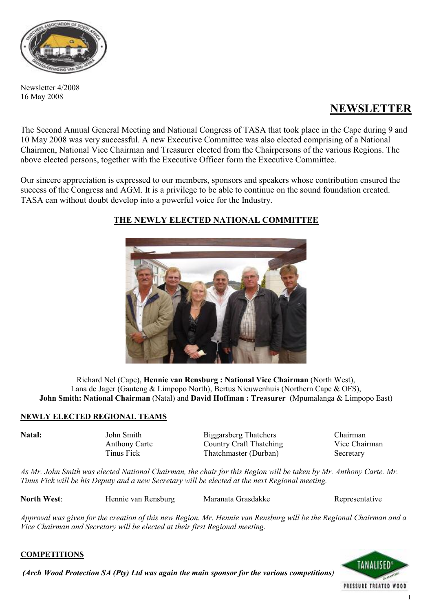

Newsletter 4/2008 16 May 2008

# **NEWSLETTER**

The Second Annual General Meeting and National Congress of TASA that took place in the Cape during 9 and 10 May 2008 was very successful. A new Executive Committee was also elected comprising of a National Chairmen, National Vice Chairman and Treasurer elected from the Chairpersons of the various Regions. The above elected persons, together with the Executive Officer form the Executive Committee.

Our sincere appreciation is expressed to our members, sponsors and speakers whose contribution ensured the success of the Congress and AGM. It is a privilege to be able to continue on the sound foundation created. TASA can without doubt develop into a powerful voice for the Industry.



# **THE NEWLY ELECTED NATIONAL COMMITTEE**

Richard Nel (Cape), **Hennie van Rensburg : National Vice Chairman** (North West), Lana de Jager (Gauteng & Limpopo North), Bertus Nieuwenhuis (Northern Cape & OFS), **John Smith: National Chairman** (Natal) and **David Hoffman : Treasurer** (Mpumalanga & Limpopo East)

# **NEWLY ELECTED REGIONAL TEAMS**

**Natal: John Smith** Biggarsberg Thatchers Chairman Anthony Carte Country Craft Thatching Vice Chairman Tinus Fick Thatchmaster (Durban) Secretary

*As Mr. John Smith was elected National Chairman, the chair for this Region will be taken by Mr. Anthony Carte. Mr. Tinus Fick will be his Deputy and a new Secretary will be elected at the next Regional meeting.* 

**North West:** Hennie van Rensburg Maranata Grasdakke Representative

*Approval was given for the creation of this new Region. Mr. Hennie van Rensburg will be the Regional Chairman and a Vice Chairman and Secretary will be elected at their first Regional meeting.* 

# **COMPETITIONS**

*(Arch Wood Protection SA (Pty) Ltd was again the main sponsor for the various competitions)*

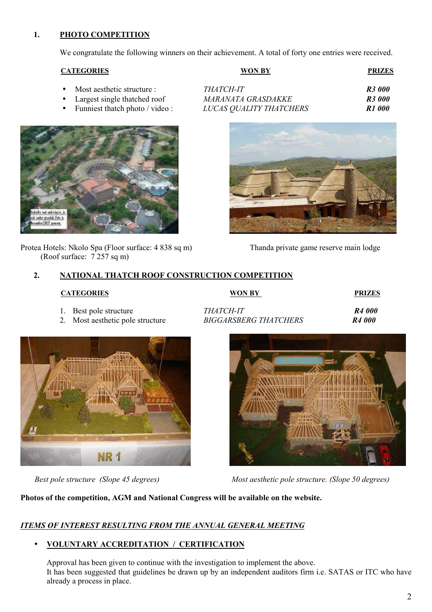## **1. PHOTO COMPETITION**

We congratulate the following winners on their achievement. A total of forty one entries were received.

#### **CATEGORIES W**

| /ON BY | <b>PRIZES</b> |
|--------|---------------|
|        |               |

- $Most aesthetic structure:$
- Largest single thatched roof
- Funniest thatch photo / video :



Protea Hotels: Nkolo Spa (Floor surface: 4 838 sq m) Thanda private game reserve main lodge (Roof surface: 7 257 sq m)

| THATCH-IT-                     | <b>R3 000</b> |
|--------------------------------|---------------|
| MARANATA GRASDAKKE             | <b>R3 000</b> |
| <i>LUCAS QUALITY THATCHERS</i> | R1 000        |



### **2. NATIONAL THATCH ROOF CONSTRUCTION COMPETITION**

| <b>CATEGORIES</b>                                          | <b>WON BY</b>                                    | <b>PRIZES</b>                            |
|------------------------------------------------------------|--------------------------------------------------|------------------------------------------|
| 1. Best pole structure<br>2. Most aesthetic pole structure | <i>THATCH-IT</i><br><b>BIGGARSBERG THATCHERS</b> | R <sub>4</sub> 000<br>R <sub>4</sub> 000 |
|                                                            |                                                  |                                          |





*Best pole structure (Slope 45 degrees) Most aesthetic pole structure. (Slope 50 degrees)*

**Photos of the competition, AGM and National Congress will be available on the website.** 

# *ITEMS OF INTEREST RESULTING FROM THE ANNUAL GENERAL MEETING*

#### • **VOLUNTARY ACCREDITATION / CERTIFICATION**

Approval has been given to continue with the investigation to implement the above. It has been suggested that guidelines be drawn up by an independent auditors firm i.e. SATAS or ITC who have already a process in place.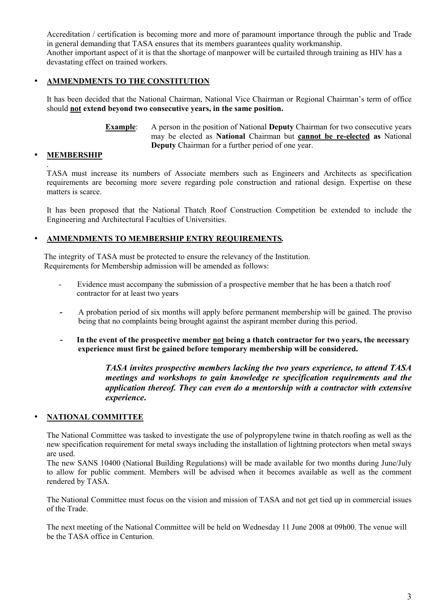Accreditation / certification is becoming more and more of paramount importance through the public and Trade in general demanding that TASA ensures that its members guarantees quality workmanship. Another important aspect of it is that the shortage of manpower will be curtailed through training as HIV has a devastating effect on trained workers.

#### • **AMMENDMENTS TO THE CONSTITUTION**

It has been decided that the National Chairman, National Vice Chairman or Regional Chairman's term of office should **not extend beyond two consecutive years, in the same position.** 

> **Example**: A person in the position of National **Deputy** Chairman for two consecutive years may be elected as **National** Chairman but **cannot be re-elected as** National **Deputy** Chairman for a further period of one year.

#### • **MEMBERSHIP**

.

TASA must increase its numbers of Associate members such as Engineers and Architects as specification requirements are becoming more severe regarding pole construction and rational design. Expertise on these matters is scarce.

It has been proposed that the National Thatch Roof Construction Competition be extended to include the Engineering and Architectural Faculties of Universities.

#### • **AMMENDMENTS TO MEMBERSHIP ENTRY REQUIREMENTS***.*

The integrity of TASA must be protected to ensure the relevancy of the Institution. Requirements for Membership admission will be amended as follows:

- Evidence must accompany the submission of a prospective member that he has been a thatch roof contractor for at least two years
- **-** A probation period of six months will apply before permanent membership will be gained. The proviso being that no complaints being brought against the aspirant member during this period.
- **- In the event of the prospective member not being a thatch contractor for two years, the necessary experience must first be gained before temporary membership will be considered.**

*TASA invites prospective members lacking the two years experience, to attend TASA meetings and workshops to gain knowledge re specification requirements and the application thereof. They can even do a mentorship with a contractor with extensive experience***.**

#### • **NATIONAL COMMITTEE**

The National Committee was tasked to investigate the use of polypropylene twine in thatch roofing as well as the new specification requirement for metal sways including the installation of lightning protectors when metal sways are used.

The new SANS 10400 (National Building Regulations) will be made available for two months during June/July to allow for public comment. Members will be advised when it becomes available as well as the comment rendered by TASA.

The National Committee must focus on the vision and mission of TASA and not get tied up in commercial issues of the Trade.

The next meeting of the National Committee will be held on Wednesday 11 June 2008 at 09h00. The venue will be the TASA office in Centurion.